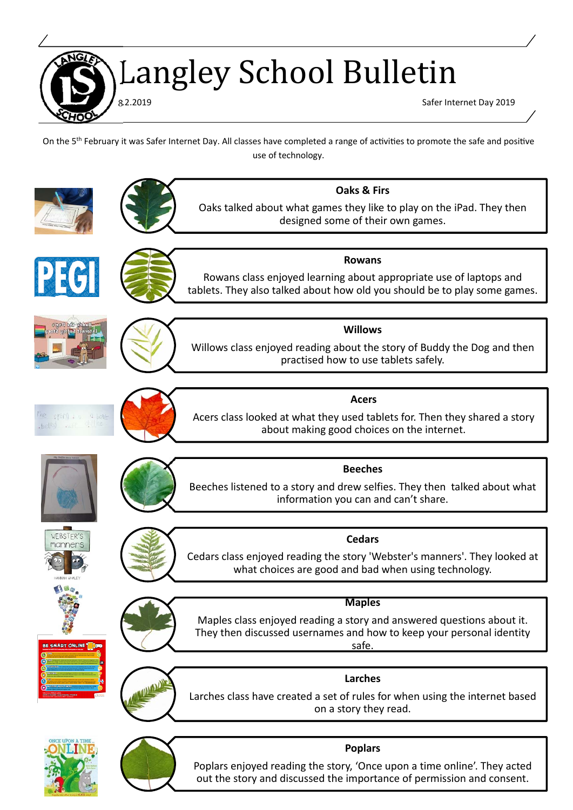Langley School Bulletin

8.2.2019 Safer Internet Day 2019

On the 5<sup>th</sup> February it was Safer Internet Day. All classes have completed a range of activities to promote the safe and positive use of technology.



Poplars enjoyed reading the story, 'Once upon a time online'. They acted out the story and discussed the importance of permission and consent.